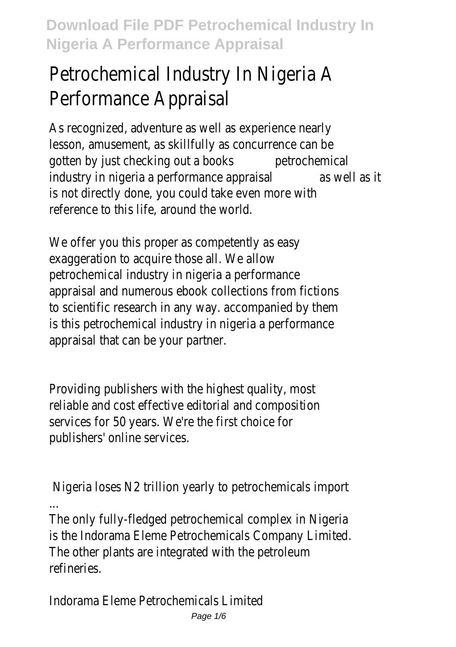# Petrochemical Industry In Nigeria A Performance Appraisal

As recognized, adventure as well as experience nearly lesson, amusement, as skillfully as concurrence can be gotten by just checking out a books petrochemical industry in nigeria a performance appraisal as well as it is not directly done, you could take even more with reference to this life, around the world.

We offer you this proper as competently as easy exaggeration to acquire those all. We allow petrochemical industry in nigeria a performance appraisal and numerous ebook collections from fictions to scientific research in any way. accompanied by them is this petrochemical industry in nigeria a performance appraisal that can be your partner.

Providing publishers with the highest quality, most reliable and cost effective editorial and composition services for 50 years. We're the first choice for publishers' online services.

Nigeria loses N2 trillion yearly to petrochemicals import ...

The only fully-fledged petrochemical complex in Nigeria is the Indorama Eleme Petrochemicals Company Limited. The other plants are integrated with the petroleum refineries.

Indorama Eleme Petrochemicals Limited Page 1/6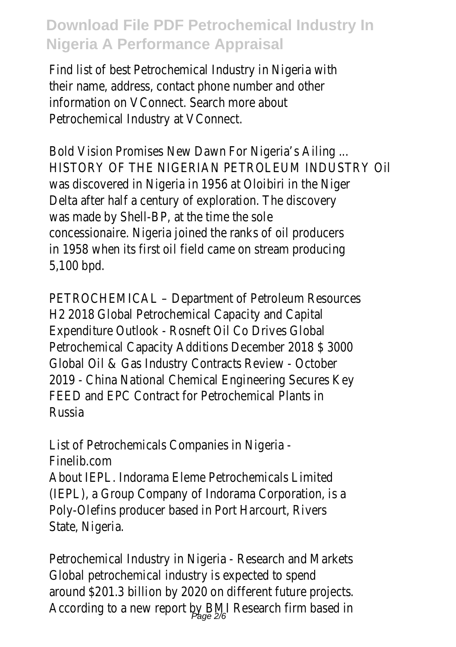Find list of best Petrochemical Industry in Nigeria with their name, address, contact phone number and other information on VConnect. Search more about Petrochemical Industry at VConnect.

Bold Vision Promises New Dawn For Nigeria's Ailing ... HISTORY OF THE NIGERIAN PETROLEUM INDUSTRY Oil was discovered in Nigeria in 1956 at Oloibiri in the Niger Delta after half a century of exploration. The discovery was made by Shell-BP, at the time the sole concessionaire. Nigeria joined the ranks of oil producers in 1958 when its first oil field came on stream producing 5,100 bpd.

PETROCHEMICAL – Department of Petroleum Resources H2 2018 Global Petrochemical Capacity and Capital Expenditure Outlook - Rosneft Oil Co Drives Global Petrochemical Capacity Additions December 2018 \$ 3000 Global Oil & Gas Industry Contracts Review - October 2019 - China National Chemical Engineering Secures Key FEED and EPC Contract for Petrochemical Plants in Russia

List of Petrochemicals Companies in Nigeria - Finelib.com About IEPL. Indorama Eleme Petrochemicals Limited (IEPL), a Group Company of Indorama Corporation, is a Poly-Olefins producer based in Port Harcourt, Rivers State, Nigeria.

Petrochemical Industry in Nigeria - Research and Markets Global petrochemical industry is expected to spend around \$201.3 billion by 2020 on different future projects. According to a new report by BMI Research firm based in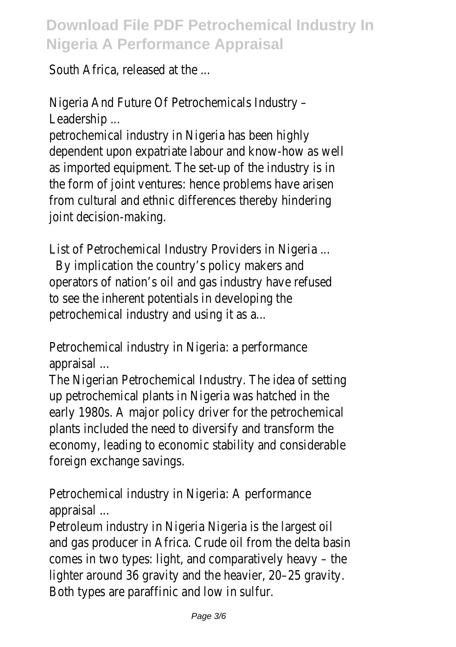South Africa, released at the ...

Nigeria And Future Of Petrochemicals Industry – Leadership ...

petrochemical industry in Nigeria has been highly dependent upon expatriate labour and know-how as well as imported equipment. The set-up of the industry is in the form of joint ventures: hence problems have arisen from cultural and ethnic differences thereby hindering joint decision-making.

List of Petrochemical Industry Providers in Nigeria ...

 By implication the country's policy makers and operators of nation's oil and gas industry have refused to see the inherent potentials in developing the petrochemical industry and using it as a...

Petrochemical industry in Nigeria: a performance appraisal ...

The Nigerian Petrochemical Industry. The idea of setting up petrochemical plants in Nigeria was hatched in the early 1980s. A major policy driver for the petrochemical plants included the need to diversify and transform the economy, leading to economic stability and considerable foreign exchange savings.

Petrochemical industry in Nigeria: A performance appraisal ...

Petroleum industry in Nigeria Nigeria is the largest oil and gas producer in Africa. Crude oil from the delta basin comes in two types: light, and comparatively heavy – the lighter around 36 gravity and the heavier, 20–25 gravity. Both types are paraffinic and low in sulfur.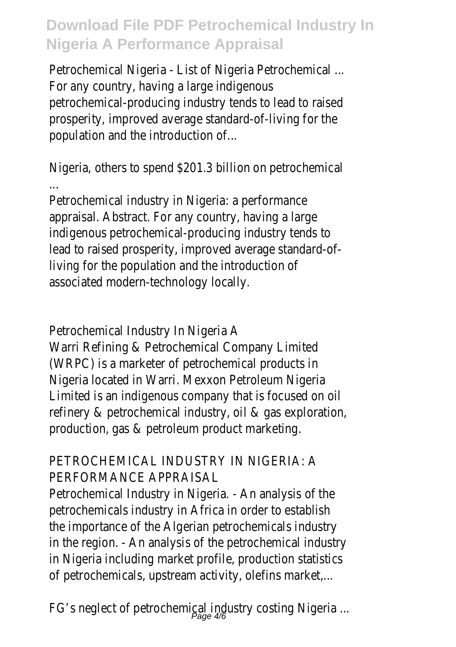Petrochemical Nigeria - List of Nigeria Petrochemical ... For any country, having a large indigenous petrochemical-producing industry tends to lead to raised prosperity, improved average standard-of-living for the population and the introduction of...

Nigeria, others to spend \$201.3 billion on petrochemical ...

Petrochemical industry in Nigeria: a performance appraisal. Abstract. For any country, having a large indigenous petrochemical-producing industry tends to lead to raised prosperity, improved average standard-ofliving for the population and the introduction of associated modern-technology locally.

Petrochemical Industry In Nigeria A

Warri Refining & Petrochemical Company Limited (WRPC) is a marketer of petrochemical products in Nigeria located in Warri. Mexxon Petroleum Nigeria Limited is an indigenous company that is focused on oil refinery & petrochemical industry, oil & gas exploration, production, gas & petroleum product marketing.

#### PETROCHEMICAL INDUSTRY IN NIGERIA: A PERFORMANCE APPRAISAL

Petrochemical Industry in Nigeria. - An analysis of the petrochemicals industry in Africa in order to establish the importance of the Algerian petrochemicals industry in the region. - An analysis of the petrochemical industry in Nigeria including market profile, production statistics of petrochemicals, upstream activity, olefins market,...

FG's neglect of petrochemical industry costing Nigeria ... Page 4/6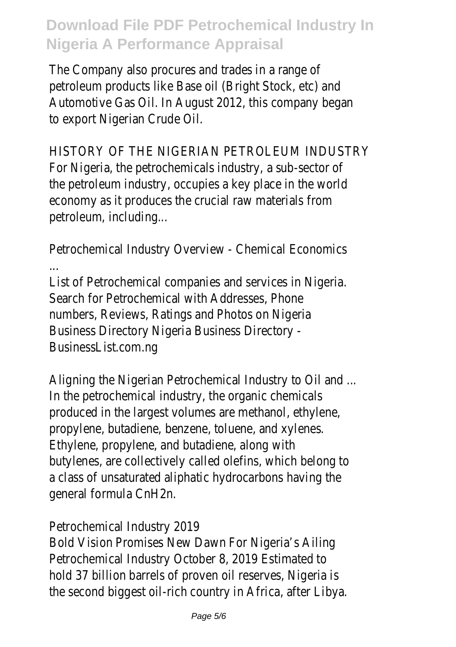The Company also procures and trades in a range of petroleum products like Base oil (Bright Stock, etc) and Automotive Gas Oil. In August 2012, this company began to export Nigerian Crude Oil.

HISTORY OF THE NIGERIAN PETROLEUM INDUSTRY For Nigeria, the petrochemicals industry, a sub-sector of the petroleum industry, occupies a key place in the world economy as it produces the crucial raw materials from petroleum, including...

Petrochemical Industry Overview - Chemical Economics

... List of Petrochemical companies and services in Nigeria. Search for Petrochemical with Addresses, Phone numbers, Reviews, Ratings and Photos on Nigeria Business Directory Nigeria Business Directory - BusinessList.com.ng

Aligning the Nigerian Petrochemical Industry to Oil and ... In the petrochemical industry, the organic chemicals produced in the largest volumes are methanol, ethylene, propylene, butadiene, benzene, toluene, and xylenes. Ethylene, propylene, and butadiene, along with butylenes, are collectively called olefins, which belong to a class of unsaturated aliphatic hydrocarbons having the general formula CnH2n.

Petrochemical Industry 2019

Bold Vision Promises New Dawn For Nigeria's Ailing Petrochemical Industry October 8, 2019 Estimated to hold 37 billion barrels of proven oil reserves, Nigeria is the second biggest oil-rich country in Africa, after Libya.